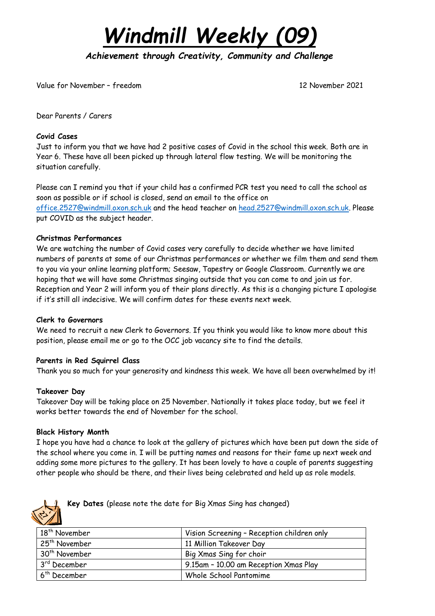

*Achievement through Creativity, Community and Challenge* 

Value for November – freedom 12 November 2021

Dear Parents / Carers

## **Covid Cases**

Just to inform you that we have had 2 positive cases of Covid in the school this week. Both are in Year 6. These have all been picked up through lateral flow testing. We will be monitoring the situation carefully.

Please can I remind you that if your child has a confirmed PCR test you need to call the school as soon as possible or if school is closed, send an email to the office on [office.2527@windmill.oxon.sch.uk](mailto:office.2527@windmill.oxon.sch.uk) and the head teacher on [head.2527@windmill.oxon.sch.uk.](mailto:head.2527@windmill.oxon.sch.uk) Please put COVID as the subject header.

### **Christmas Performances**

We are watching the number of Covid cases very carefully to decide whether we have limited numbers of parents at some of our Christmas performances or whether we film them and send them to you via your online learning platform; Seesaw, Tapestry or Google Classroom. Currently we are hoping that we will have some Christmas singing outside that you can come to and join us for. Reception and Year 2 will inform you of their plans directly. As this is a changing picture I apologise if it's still all indecisive. We will confirm dates for these events next week.

#### **Clerk to Governors**

We need to recruit a new Clerk to Governors. If you think you would like to know more about this position, please email me or go to the OCC job vacancy site to find the details.

## **Parents in Red Squirrel Class**

Thank you so much for your generosity and kindness this week. We have all been overwhelmed by it!

#### **Takeover Day**

Takeover Day will be taking place on 25 November. Nationally it takes place today, but we feel it works better towards the end of November for the school.

#### **Black History Month**

I hope you have had a chance to look at the gallery of pictures which have been put down the side of the school where you come in. I will be putting names and reasons for their fame up next week and adding some more pictures to the gallery. It has been lovely to have a couple of parents suggesting other people who should be there, and their lives being celebrated and held up as role models.



**Key Dates** (please note the date for Big Xmas Sing has changed)

| 18 <sup>th</sup> November                            | Vision Screening - Reception children only |  |
|------------------------------------------------------|--------------------------------------------|--|
| 25 <sup>th</sup> November<br>11 Million Takeover Day |                                            |  |
| 30 <sup>th</sup> November<br>Big Xmas Sing for choir |                                            |  |
| 3 <sup>rd</sup> December                             | 9.15am - 10.00 am Reception Xmas Play      |  |
| $6th$ December                                       | Whole School Pantomime                     |  |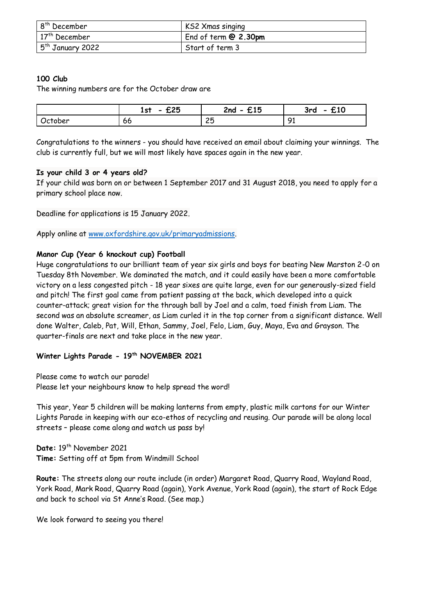| 8 <sup>th</sup> December | KS2 Xmas singing       |
|--------------------------|------------------------|
| $17th$ December          | End of term $@2.30$ pm |
| $5th$ January 2022       | Start of term 3        |

# **100 Club**

The winning numbers are for the October draw are

|         | £25<br>1st<br>$\overline{\phantom{0}}$ | £15<br>$2nd -$ | £10<br>3rd<br>$\bullet$ |
|---------|----------------------------------------|----------------|-------------------------|
| ctober/ | 66                                     | ◠⊏<br>ີ        | Q1<br>╯                 |

Congratulations to the winners - you should have received an email about claiming your winnings. The club is currently full, but we will most likely have spaces again in the new year.

# **Is your child 3 or 4 years old?**

If your child was born on or between 1 September 2017 and 31 August 2018, you need to apply for a primary school place now.

Deadline for applications is 15 January 2022.

Apply online at [www.oxfordshire.gov.uk/primaryadmissions.](http://www.oxfordshire.gov.uk/primaryadmissions)

# **Manor Cup (Year 6 knockout cup) Football**

Huge congratulations to our brilliant team of year six girls and boys for beating New Marston 2-0 on Tuesday 8th November. We dominated the match, and it could easily have been a more comfortable victory on a less congested pitch - 18 year sixes are quite large, even for our generously-sized field and pitch! The first goal came from patient passing at the back, which developed into a quick counter-attack; great vision for the through ball by Joel and a calm, toed finish from Liam. The second was an absolute screamer, as Liam curled it in the top corner from a significant distance. Well done Walter, Caleb, Pat, Will, Ethan, Sammy, Joel, Felo, Liam, Guy, Maya, Eva and Grayson. The quarter-finals are next and take place in the new year.

# **Winter Lights Parade - 19th NOVEMBER 2021**

Please come to watch our parade! Please let your neighbours know to help spread the word!

This year, Year 5 children will be making lanterns from empty, plastic milk cartons for our Winter Lights Parade in keeping with our eco-ethos of recycling and reusing. Our parade will be along local streets – please come along and watch us pass by!

Date: 19<sup>th</sup> November 2021 **Time:** Setting off at 5pm from Windmill School

**Route:** The streets along our route include (in order) Margaret Road, Quarry Road, Wayland Road, York Road, Mark Road, Quarry Road (again), York Avenue, York Road (again), the start of Rock Edge and back to school via St Anne's Road. (See map.)

We look forward to seeing you there!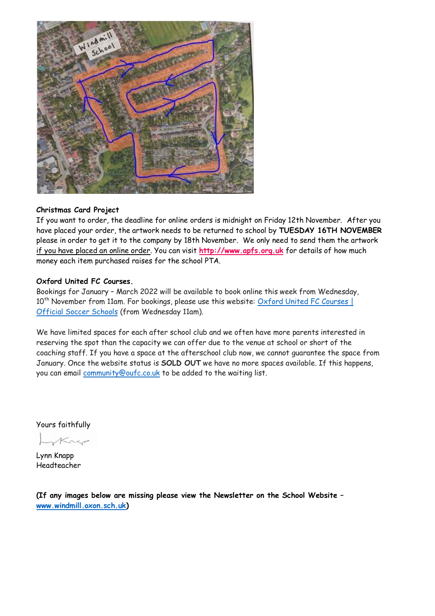

### **Christmas Card Project**

If you want to order, the deadline for online orders is midnight on Friday 12th November. After you have placed your order, the artwork needs to be returned to school by **TUESDAY 16TH NOVEMBER** please in order to get it to the company by 18th November. We only need to send them the artwork if you have placed an online order. You can visit **[http://www.apfs.org.uk](http://www.apfs.org.uk/)** for details of how much money each item purchased raises for the school PTA.

## **Oxford United FC Courses.**

Bookings for January – March 2022 will be available to book online this week from Wednesday,  $10^{th}$  November from 11am. For bookings, please use this website: Oxford United FC [Courses](https://officialsoccerschools.co.uk/oxfordunited/oxford-united-courses.html) | [Official](https://officialsoccerschools.co.uk/oxfordunited/oxford-united-courses.html) Soccer Schools (from Wednesday 11am).

We have limited spaces for each after school club and we often have more parents interested in reserving the spot than the capacity we can offer due to the venue at school or short of the coaching staff. If you have a space at the afterschool club now, we cannot guarantee the space from January. Once the website status is **SOLD OUT** we have no more spaces available. If this happens, you can email [community@oufc.co.uk](mailto:community@oufc.co.uk) to be added to the waiting list.

Yours faithfully

Krep

Lynn Knapp Headteacher

**(If any images below are missing please view the Newsletter on the School Website – [www.windmill.oxon.sch.uk\)](http://www.windmill.oxon.sch.uk/)**